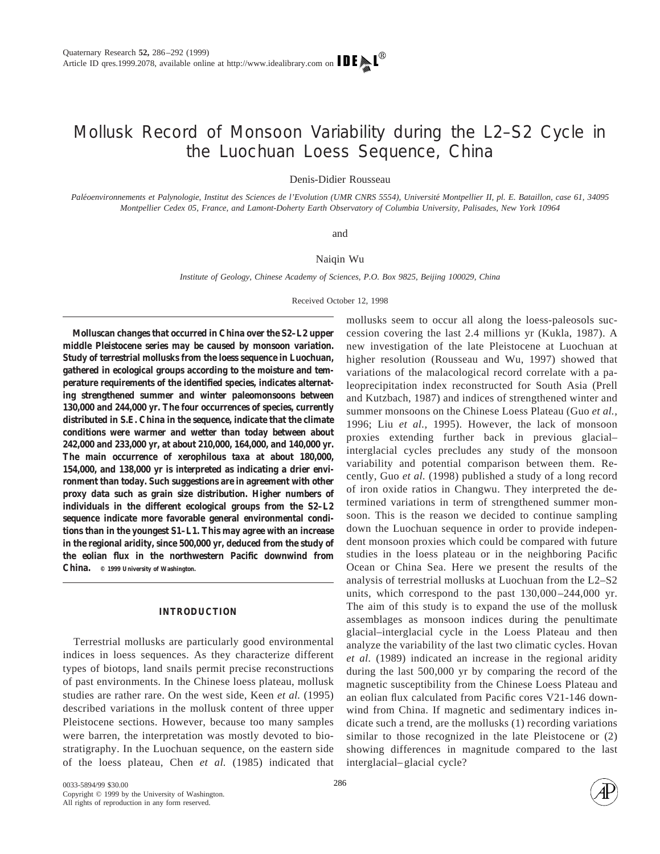# Mollusk Record of Monsoon Variability during the L2–S2 Cycle in the Luochuan Loess Sequence, China

Denis-Didier Rousseau

Paléoenvironnements et Palynologie, Institut des Sciences de l'Evolution (UMR CNRS 5554), Université Montpellier II, pl. E. Bataillon, case 61, 34095 *Montpellier Cedex 05, France, and Lamont-Doherty Earth Observatory of Columbia University, Palisades, New York 10964*

#### and

#### Naiqin Wu

*Institute of Geology, Chinese Academy of Sciences, P.O. Box 9825, Beijing 100029, China*

Received October 12, 1998

**Molluscan changes that occurred in China over the S2–L2 upper middle Pleistocene series may be caused by monsoon variation. Study of terrestrial mollusks from the loess sequence in Luochuan, gathered in ecological groups according to the moisture and temperature requirements of the identified species, indicates alternating strengthened summer and winter paleomonsoons between 130,000 and 244,000 yr. The four occurrences of species, currently distributed in S.E. China in the sequence, indicate that the climate conditions were warmer and wetter than today between about 242,000 and 233,000 yr, at about 210,000, 164,000, and 140,000 yr. The main occurrence of xerophilous taxa at about 180,000, 154,000, and 138,000 yr is interpreted as indicating a drier environment than today. Such suggestions are in agreement with other proxy data such as grain size distribution. Higher numbers of individuals in the different ecological groups from the S2–L2 sequence indicate more favorable general environmental conditions than in the youngest S1–L1. This may agree with an increase in the regional aridity, since 500,000 yr, deduced from the study of the eolian flux in the northwestern Pacific downwind from China. © 1999 University of Washington.**

## **INTRODUCTION**

Terrestrial mollusks are particularly good environmental indices in loess sequences. As they characterize different types of biotops, land snails permit precise reconstructions of past environments. In the Chinese loess plateau, mollusk studies are rather rare. On the west side, Keen *et al.* (1995) described variations in the mollusk content of three upper Pleistocene sections. However, because too many samples were barren, the interpretation was mostly devoted to biostratigraphy. In the Luochuan sequence, on the eastern side of the loess plateau, Chen *et al.* (1985) indicated that

mollusks seem to occur all along the loess-paleosols succession covering the last 2.4 millions yr (Kukla, 1987). A new investigation of the late Pleistocene at Luochuan at higher resolution (Rousseau and Wu, 1997) showed that variations of the malacological record correlate with a paleoprecipitation index reconstructed for South Asia (Prell and Kutzbach, 1987) and indices of strengthened winter and summer monsoons on the Chinese Loess Plateau (Guo *et al.,* 1996; Liu *et al.,* 1995). However, the lack of monsoon proxies extending further back in previous glacial– interglacial cycles precludes any study of the monsoon variability and potential comparison between them. Recently, Guo *et al.* (1998) published a study of a long record of iron oxide ratios in Changwu. They interpreted the determined variations in term of strengthened summer monsoon. This is the reason we decided to continue sampling down the Luochuan sequence in order to provide independent monsoon proxies which could be compared with future studies in the loess plateau or in the neighboring Pacific Ocean or China Sea. Here we present the results of the analysis of terrestrial mollusks at Luochuan from the L2–S2 units, which correspond to the past 130,000–244,000 yr. The aim of this study is to expand the use of the mollusk assemblages as monsoon indices during the penultimate glacial–interglacial cycle in the Loess Plateau and then analyze the variability of the last two climatic cycles. Hovan *et al.* (1989) indicated an increase in the regional aridity during the last 500,000 yr by comparing the record of the magnetic susceptibility from the Chinese Loess Plateau and an eolian flux calculated from Pacific cores V21-146 downwind from China. If magnetic and sedimentary indices indicate such a trend, are the mollusks (1) recording variations similar to those recognized in the late Pleistocene or (2) showing differences in magnitude compared to the last interglacial–glacial cycle?

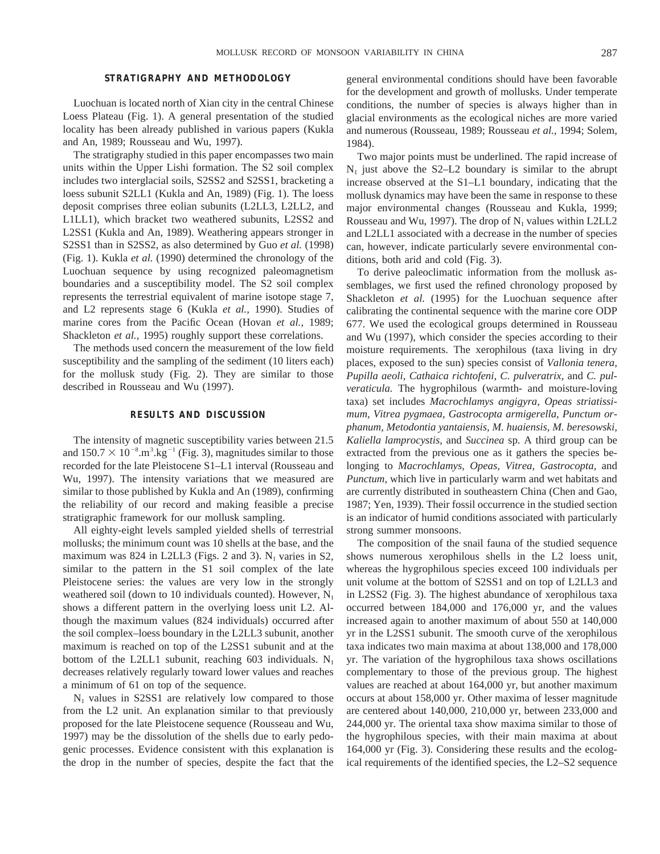### **STRATIGRAPHY AND METHODOLOGY**

Luochuan is located north of Xian city in the central Chinese Loess Plateau (Fig. 1). A general presentation of the studied locality has been already published in various papers (Kukla and An, 1989; Rousseau and Wu, 1997).

The stratigraphy studied in this paper encompasses two main units within the Upper Lishi formation. The S2 soil complex includes two interglacial soils, S2SS2 and S2SS1, bracketing a loess subunit S2LL1 (Kukla and An, 1989) (Fig. 1). The loess deposit comprises three eolian subunits (L2LL3, L2LL2, and L1LL1), which bracket two weathered subunits, L2SS2 and L2SS1 (Kukla and An, 1989). Weathering appears stronger in S2SS1 than in S2SS2, as also determined by Guo *et al.* (1998) (Fig. 1). Kukla *et al.* (1990) determined the chronology of the Luochuan sequence by using recognized paleomagnetism boundaries and a susceptibility model. The S2 soil complex represents the terrestrial equivalent of marine isotope stage 7, and L2 represents stage 6 (Kukla *et al.,* 1990). Studies of marine cores from the Pacific Ocean (Hovan *et al.,* 1989; Shackleton *et al.,* 1995) roughly support these correlations.

The methods used concern the measurement of the low field susceptibility and the sampling of the sediment (10 liters each) for the mollusk study (Fig. 2). They are similar to those described in Rousseau and Wu (1997).

#### **RESULTS AND DISCUSSION**

The intensity of magnetic susceptibility varies between 21.5 and  $150.7 \times 10^{-8}$ .m<sup>3</sup>.kg<sup>-1</sup> (Fig. 3), magnitudes similar to those recorded for the late Pleistocene S1–L1 interval (Rousseau and Wu, 1997). The intensity variations that we measured are similar to those published by Kukla and An (1989), confirming the reliability of our record and making feasible a precise stratigraphic framework for our mollusk sampling.

All eighty-eight levels sampled yielded shells of terrestrial mollusks; the minimum count was 10 shells at the base, and the maximum was 824 in L2LL3 (Figs. 2 and 3).  $N_I$  varies in S2, similar to the pattern in the S1 soil complex of the late Pleistocene series: the values are very low in the strongly weathered soil (down to 10 individuals counted). However,  $N<sub>I</sub>$ shows a different pattern in the overlying loess unit L2. Although the maximum values (824 individuals) occurred after the soil complex–loess boundary in the L2LL3 subunit, another maximum is reached on top of the L2SS1 subunit and at the bottom of the L2LL1 subunit, reaching 603 individuals.  $N_I$ decreases relatively regularly toward lower values and reaches a minimum of 61 on top of the sequence.

 $N<sub>I</sub>$  values in S2SS1 are relatively low compared to those from the L2 unit. An explanation similar to that previously proposed for the late Pleistocene sequence (Rousseau and Wu, 1997) may be the dissolution of the shells due to early pedogenic processes. Evidence consistent with this explanation is the drop in the number of species, despite the fact that the general environmental conditions should have been favorable for the development and growth of mollusks. Under temperate conditions, the number of species is always higher than in glacial environments as the ecological niches are more varied and numerous (Rousseau, 1989; Rousseau *et al.,* 1994; Solem, 1984).

Two major points must be underlined. The rapid increase of  $N<sub>I</sub>$  just above the S2–L2 boundary is similar to the abrupt increase observed at the S1–L1 boundary, indicating that the mollusk dynamics may have been the same in response to these major environmental changes (Rousseau and Kukla, 1999; Rousseau and Wu, 1997). The drop of  $N<sub>I</sub>$  values within L2LL2 and L2LL1 associated with a decrease in the number of species can, however, indicate particularly severe environmental conditions, both arid and cold (Fig. 3).

To derive paleoclimatic information from the mollusk assemblages, we first used the refined chronology proposed by Shackleton *et al.* (1995) for the Luochuan sequence after calibrating the continental sequence with the marine core ODP 677. We used the ecological groups determined in Rousseau and Wu (1997), which consider the species according to their moisture requirements. The xerophilous (taxa living in dry places, exposed to the sun) species consist of *Vallonia tenera, Pupilla aeoli, Cathaica richtofeni, C. pulveratrix,* and *C. pulveraticula.* The hygrophilous (warmth- and moisture-loving taxa) set includes *Macrochlamys angigyra, Opeas striatissimum, Vitrea pygmaea, Gastrocopta armigerella, Punctum orphanum, Metodontia yantaiensis, M. huaiensis, M. beresowski, Kaliella lamprocystis,* and *Succinea* sp. A third group can be extracted from the previous one as it gathers the species belonging to *Macrochlamys, Opeas, Vitrea, Gastrocopta,* and *Punctum,* which live in particularly warm and wet habitats and are currently distributed in southeastern China (Chen and Gao, 1987; Yen, 1939). Their fossil occurrence in the studied section is an indicator of humid conditions associated with particularly strong summer monsoons.

The composition of the snail fauna of the studied sequence shows numerous xerophilous shells in the L2 loess unit, whereas the hygrophilous species exceed 100 individuals per unit volume at the bottom of S2SS1 and on top of L2LL3 and in L2SS2 (Fig. 3). The highest abundance of xerophilous taxa occurred between 184,000 and 176,000 yr, and the values increased again to another maximum of about 550 at 140,000 yr in the L2SS1 subunit. The smooth curve of the xerophilous taxa indicates two main maxima at about 138,000 and 178,000 yr. The variation of the hygrophilous taxa shows oscillations complementary to those of the previous group. The highest values are reached at about 164,000 yr, but another maximum occurs at about 158,000 yr. Other maxima of lesser magnitude are centered about 140,000, 210,000 yr, between 233,000 and 244,000 yr. The oriental taxa show maxima similar to those of the hygrophilous species, with their main maxima at about 164,000 yr (Fig. 3). Considering these results and the ecological requirements of the identified species, the L2–S2 sequence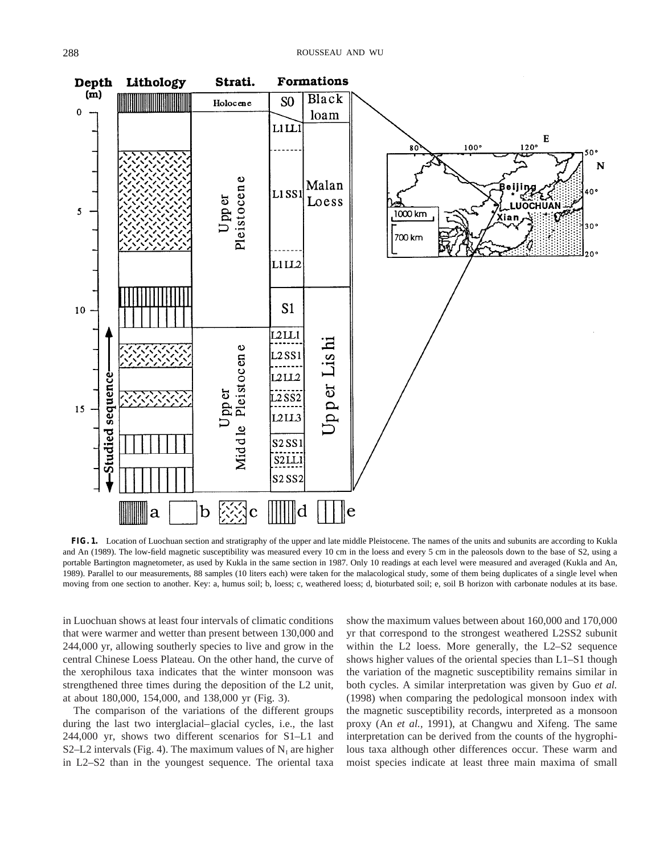

**FIG. 1.** Location of Luochuan section and stratigraphy of the upper and late middle Pleistocene. The names of the units and subunits are according to Kukla and An (1989). The low-field magnetic susceptibility was measured every 10 cm in the loess and every 5 cm in the paleosols down to the base of S2, using a portable Bartington magnetometer, as used by Kukla in the same section in 1987. Only 10 readings at each level were measured and averaged (Kukla and An, 1989). Parallel to our measurements, 88 samples (10 liters each) were taken for the malacological study, some of them being duplicates of a single level when moving from one section to another. Key: a, humus soil; b, loess; c, weathered loess; d, bioturbated soil; e, soil B horizon with carbonate nodules at its base.

in Luochuan shows at least four intervals of climatic conditions that were warmer and wetter than present between 130,000 and 244,000 yr, allowing southerly species to live and grow in the central Chinese Loess Plateau. On the other hand, the curve of the xerophilous taxa indicates that the winter monsoon was strengthened three times during the deposition of the L2 unit, at about 180,000, 154,000, and 138,000 yr (Fig. 3).

The comparison of the variations of the different groups during the last two interglacial–glacial cycles, i.e., the last 244,000 yr, shows two different scenarios for S1–L1 and S2–L2 intervals (Fig. 4). The maximum values of  $N<sub>I</sub>$  are higher in L2–S2 than in the youngest sequence. The oriental taxa show the maximum values between about 160,000 and 170,000 yr that correspond to the strongest weathered L2SS2 subunit within the L2 loess. More generally, the L2–S2 sequence shows higher values of the oriental species than L1–S1 though the variation of the magnetic susceptibility remains similar in both cycles. A similar interpretation was given by Guo *et al.* (1998) when comparing the pedological monsoon index with the magnetic susceptibility records, interpreted as a monsoon proxy (An *et al.,* 1991), at Changwu and Xifeng. The same interpretation can be derived from the counts of the hygrophilous taxa although other differences occur. These warm and moist species indicate at least three main maxima of small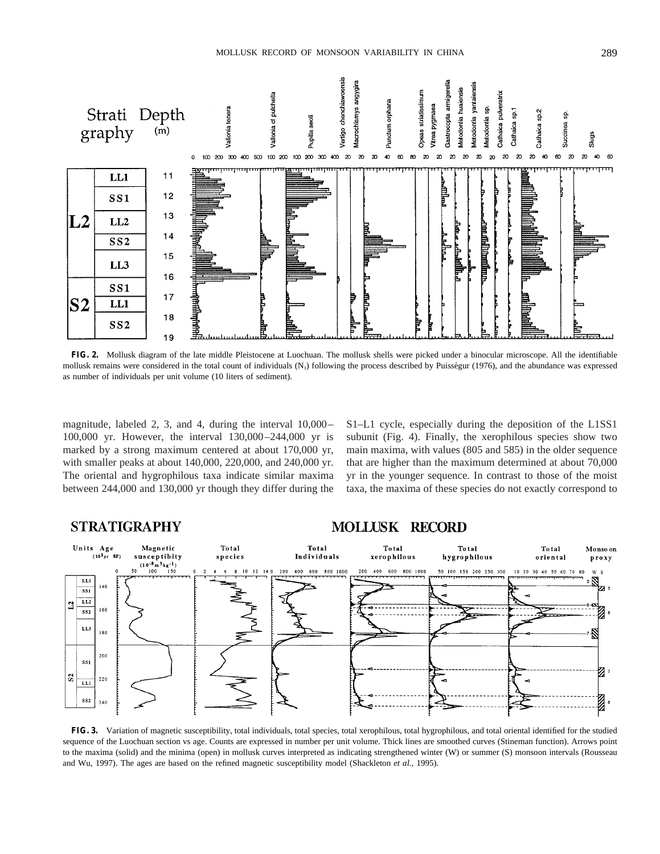

**FIG. 2.** Mollusk diagram of the late middle Pleistocene at Luochuan. The mollusk shells were picked under a binocular microscope. All the identifiable mollusk remains were considered in the total count of individuals  $(N<sub>1</sub>)$  following the process described by Puisségur (1976), and the abundance was expressed as number of individuals per unit volume (10 liters of sediment).

magnitude, labeled 2, 3, and 4, during the interval 10,000– 100,000 yr. However, the interval 130,000–244,000 yr is marked by a strong maximum centered at about 170,000 yr, with smaller peaks at about 140,000, 220,000, and 240,000 yr. The oriental and hygrophilous taxa indicate similar maxima between 244,000 and 130,000 yr though they differ during the S1–L1 cycle, especially during the deposition of the L1SS1 subunit (Fig. 4). Finally, the xerophilous species show two main maxima, with values (805 and 585) in the older sequence that are higher than the maximum determined at about 70,000 yr in the younger sequence. In contrast to those of the moist taxa, the maxima of these species do not exactly correspond to

#### **STRATIGRAPHY MOLLUSK RECORD** Total Units Age Magnetic Total Total Total Total Monso on  $(10^{3}$ yr susceptibity Individuals xerophilous species hygrophilous oriental ргоху  $\frac{(10^{-8} \text{ m}^3 \text{kg}^{-1})}{100 \qquad 150}$ 400 600 800 1000 400 600 800 1000 50 100 150 200 250 300 10 12 14 0 200 200 10 20 30 40 50 60 70 80 LLI  $140$  $\overline{LL2}$  $\overline{12}$ 160  $ss2$  $LL<sub>3</sub>$ 180  $200$ **SS** z,  $|S|$  $220$  $UL1$  $SS2$  $241$

**FIG. 3.** Variation of magnetic susceptibility, total individuals, total species, total xerophilous, total hygrophilous, and total oriental identified for the studied sequence of the Luochuan section vs age. Counts are expressed in number per unit volume. Thick lines are smoothed curves (Stineman function). Arrows point to the maxima (solid) and the minima (open) in mollusk curves interpreted as indicating strengthened winter (W) or summer (S) monsoon intervals (Rousseau and Wu, 1997). The ages are based on the refined magnetic susceptibility model (Shackleton *et al.,* 1995).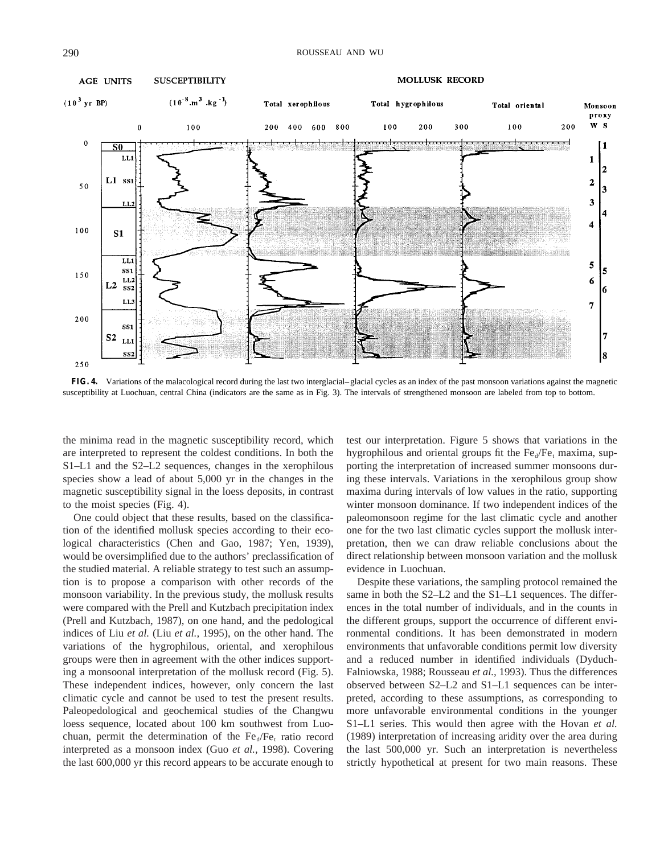

**FIG. 4.** Variations of the malacological record during the last two interglacial–glacial cycles as an index of the past monsoon variations against the magnetic susceptibility at Luochuan, central China (indicators are the same as in Fig. 3). The intervals of strengthened monsoon are labeled from top to bottom.

the minima read in the magnetic susceptibility record, which are interpreted to represent the coldest conditions. In both the S1–L1 and the S2–L2 sequences, changes in the xerophilous species show a lead of about 5,000 yr in the changes in the magnetic susceptibility signal in the loess deposits, in contrast to the moist species (Fig. 4).

One could object that these results, based on the classification of the identified mollusk species according to their ecological characteristics (Chen and Gao, 1987; Yen, 1939), would be oversimplified due to the authors' preclassification of the studied material. A reliable strategy to test such an assumption is to propose a comparison with other records of the monsoon variability. In the previous study, the mollusk results were compared with the Prell and Kutzbach precipitation index (Prell and Kutzbach, 1987), on one hand, and the pedological indices of Liu *et al.* (Liu *et al.,* 1995), on the other hand. The variations of the hygrophilous, oriental, and xerophilous groups were then in agreement with the other indices supporting a monsoonal interpretation of the mollusk record (Fig. 5). These independent indices, however, only concern the last climatic cycle and cannot be used to test the present results. Paleopedological and geochemical studies of the Changwu loess sequence, located about 100 km southwest from Luochuan, permit the determination of the  $Fe<sub>d</sub>/Fe<sub>t</sub>$  ratio record interpreted as a monsoon index (Guo *et al.,* 1998). Covering the last 600,000 yr this record appears to be accurate enough to test our interpretation. Figure 5 shows that variations in the hygrophilous and oriental groups fit the  $Fe<sub>d</sub>/Fe<sub>t</sub>$  maxima, supporting the interpretation of increased summer monsoons during these intervals. Variations in the xerophilous group show maxima during intervals of low values in the ratio, supporting winter monsoon dominance. If two independent indices of the paleomonsoon regime for the last climatic cycle and another one for the two last climatic cycles support the mollusk interpretation, then we can draw reliable conclusions about the direct relationship between monsoon variation and the mollusk evidence in Luochuan.

Despite these variations, the sampling protocol remained the same in both the S2–L2 and the S1–L1 sequences. The differences in the total number of individuals, and in the counts in the different groups, support the occurrence of different environmental conditions. It has been demonstrated in modern environments that unfavorable conditions permit low diversity and a reduced number in identified individuals (Dyduch-Falniowska, 1988; Rousseau *et al.,* 1993). Thus the differences observed between S2–L2 and S1–L1 sequences can be interpreted, according to these assumptions, as corresponding to more unfavorable environmental conditions in the younger S1–L1 series. This would then agree with the Hovan *et al.* (1989) interpretation of increasing aridity over the area during the last 500,000 yr. Such an interpretation is nevertheless strictly hypothetical at present for two main reasons. These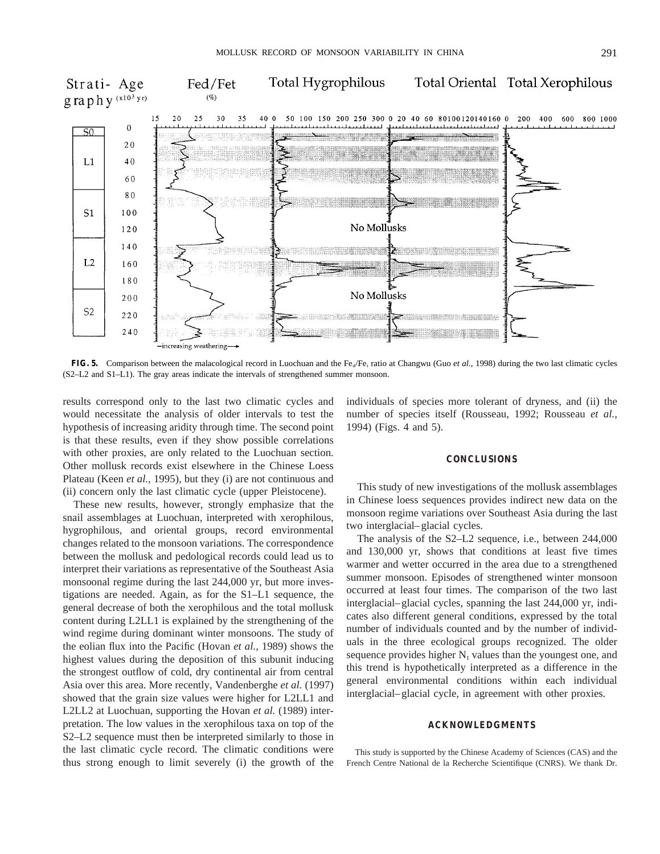

**FIG. 5.** Comparison between the malacological record in Luochuan and the Fe<sub>d</sub>/Fe<sub>t</sub> ratio at Changwu (Guo *et al.,* 1998) during the two last climatic cycles (S2–L2 and S1–L1). The gray areas indicate the intervals of strengthened summer monsoon.

results correspond only to the last two climatic cycles and would necessitate the analysis of older intervals to test the hypothesis of increasing aridity through time. The second point is that these results, even if they show possible correlations with other proxies, are only related to the Luochuan section. Other mollusk records exist elsewhere in the Chinese Loess Plateau (Keen *et al.,* 1995), but they (i) are not continuous and (ii) concern only the last climatic cycle (upper Pleistocene).

These new results, however, strongly emphasize that the snail assemblages at Luochuan, interpreted with xerophilous, hygrophilous, and oriental groups, record environmental changes related to the monsoon variations. The correspondence between the mollusk and pedological records could lead us to interpret their variations as representative of the Southeast Asia monsoonal regime during the last 244,000 yr, but more investigations are needed. Again, as for the S1–L1 sequence, the general decrease of both the xerophilous and the total mollusk content during L2LL1 is explained by the strengthening of the wind regime during dominant winter monsoons. The study of the eolian flux into the Pacific (Hovan *et al.,* 1989) shows the highest values during the deposition of this subunit inducing the strongest outflow of cold, dry continental air from central Asia over this area. More recently, Vandenberghe *et al.* (1997) showed that the grain size values were higher for L2LL1 and L2LL2 at Luochuan, supporting the Hovan *et al.* (1989) interpretation. The low values in the xerophilous taxa on top of the S2–L2 sequence must then be interpreted similarly to those in the last climatic cycle record. The climatic conditions were thus strong enough to limit severely (i) the growth of the

individuals of species more tolerant of dryness, and (ii) the number of species itself (Rousseau, 1992; Rousseau *et al.,* 1994) (Figs. 4 and 5).

#### **CONCLUSIONS**

This study of new investigations of the mollusk assemblages in Chinese loess sequences provides indirect new data on the monsoon regime variations over Southeast Asia during the last two interglacial–glacial cycles.

The analysis of the S2–L2 sequence, i.e., between 244,000 and 130,000 yr, shows that conditions at least five times warmer and wetter occurred in the area due to a strengthened summer monsoon. Episodes of strengthened winter monsoon occurred at least four times. The comparison of the two last interglacial–glacial cycles, spanning the last 244,000 yr, indicates also different general conditions, expressed by the total number of individuals counted and by the number of individuals in the three ecological groups recognized. The older sequence provides higher  $N<sub>I</sub>$  values than the youngest one, and this trend is hypothetically interpreted as a difference in the general environmental conditions within each individual interglacial–glacial cycle, in agreement with other proxies.

#### **ACKNOWLEDGMENTS**

This study is supported by the Chinese Academy of Sciences (CAS) and the French Centre National de la Recherche Scientifique (CNRS). We thank Dr.